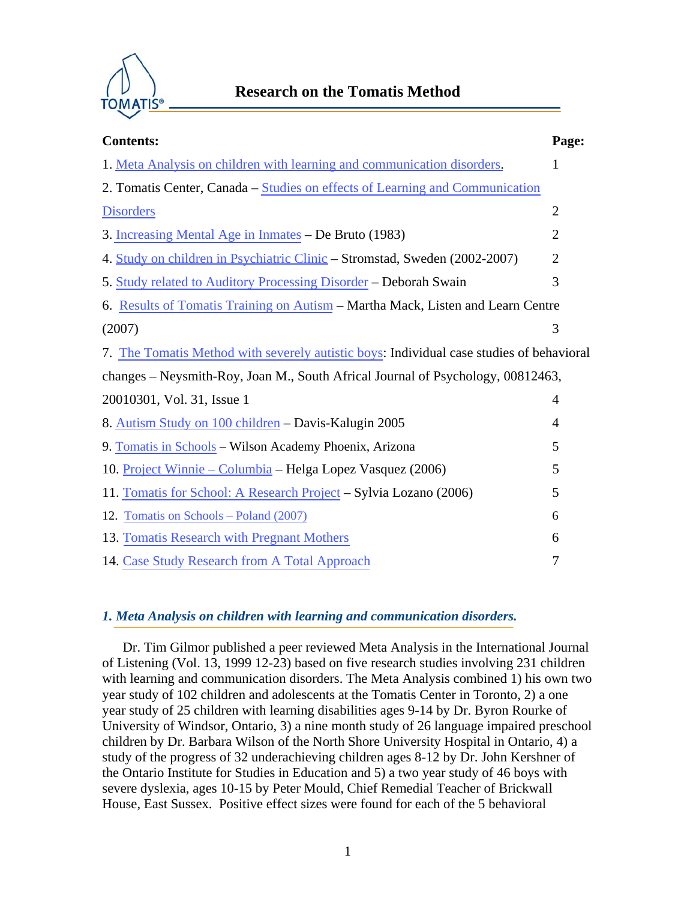

| <b>Contents:</b>                                                                         | Page:          |
|------------------------------------------------------------------------------------------|----------------|
| 1. Meta Analysis on children with learning and communication disorders.                  | $\mathbf{1}$   |
| 2. Tomatis Center, Canada - Studies on effects of Learning and Communication             |                |
| <b>Disorders</b>                                                                         | $\overline{2}$ |
| 3. Increasing Mental Age in Inmates – De Bruto (1983)                                    | $\overline{2}$ |
| 4. Study on children in Psychiatric Clinic - Stromstad, Sweden (2002-2007)               | $\overline{2}$ |
| 5. Study related to Auditory Processing Disorder - Deborah Swain                         | 3              |
| 6. Results of Tomatis Training on Autism – Martha Mack, Listen and Learn Centre          |                |
| (2007)                                                                                   | 3              |
| 7. The Tomatis Method with severely autistic boys: Individual case studies of behavioral |                |
| changes – Neysmith-Roy, Joan M., South Africal Journal of Psychology, 00812463,          |                |
| 20010301, Vol. 31, Issue 1                                                               | 4              |
| 8. Autism Study on 100 children – Davis-Kalugin 2005                                     | 4              |
| 9. Tomatis in Schools – Wilson Academy Phoenix, Arizona                                  | 5              |
| 10. Project Winnie – Columbia – Helga Lopez Vasquez (2006)                               | 5              |
| 11. Tomatis for School: A Research Project – Sylvia Lozano (2006)                        | 5              |
| 12. Tomatis on Schools – Poland (2007)                                                   | 6              |
| 13. Tomatis Research with Pregnant Mothers                                               | 6              |
| 14. Case Study Research from A Total Approach                                            | 7              |

# *1. Meta Analysis on children with learning and communication disorders.*

Dr. Tim Gilmor published a peer reviewed Meta Analysis in the International Journal of Listening (Vol. 13, 1999 12-23) based on five research studies involving 231 children with learning and communication disorders. The Meta Analysis combined 1) his own two year study of 102 children and adolescents at the Tomatis Center in Toronto, 2) a one year study of 25 children with learning disabilities ages 9-14 by Dr. Byron Rourke of University of Windsor, Ontario, 3) a nine month study of 26 language impaired preschool children by Dr. Barbara Wilson of the North Shore University Hospital in Ontario, 4) a study of the progress of 32 underachieving children ages 8-12 by Dr. John Kershner of the Ontario Institute for Studies in Education and 5) a two year study of 46 boys with severe dyslexia, ages 10-15 by Peter Mould, Chief Remedial Teacher of Brickwall House, East Sussex. Positive effect sizes were found for each of the 5 behavioral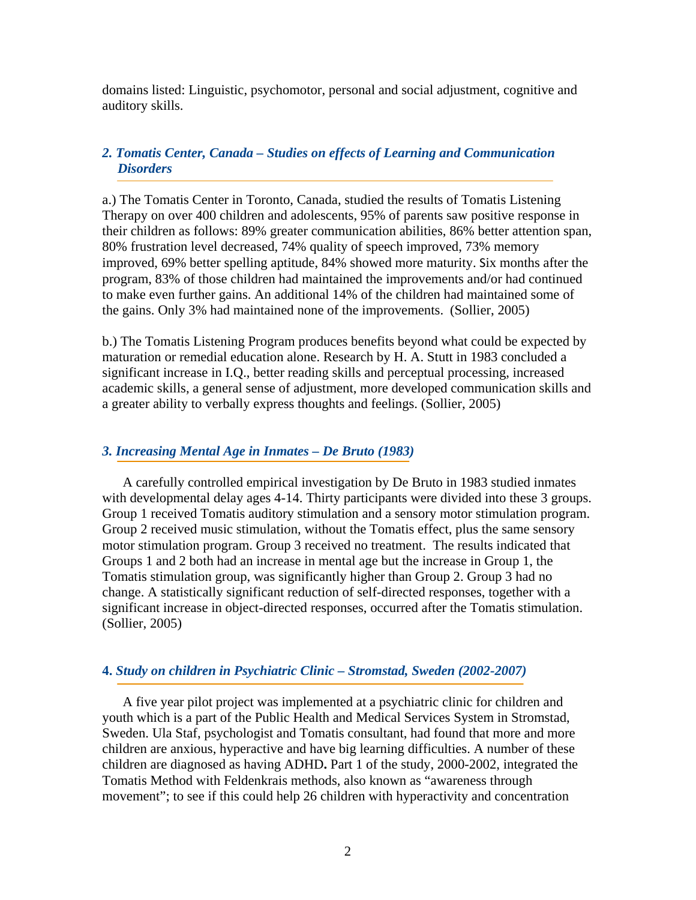<span id="page-1-0"></span>domains listed: Linguistic, psychomotor, personal and social adjustment, cognitive and auditory skills.

# *2. Tomatis Center, Canada – Studies on effects of Learning and Communication Disorders*

a.) The Tomatis Center in Toronto, Canada, studied the results of Tomatis Listening Therapy on over 400 children and adolescents, 95% of parents saw positive response in their children as follows: 89% greater communication abilities, 86% better attention span, 80% frustration level decreased, 74% quality of speech improved, 73% memory improved, 69% better spelling aptitude, 84% showed more maturity. Six months after the program, 83% of those children had maintained the improvements and/or had continued to make even further gains. An additional 14% of the children had maintained some of the gains. Only 3% had maintained none of the improvements. (Sollier, 2005)

b.) The Tomatis Listening Program produces benefits beyond what could be expected by maturation or remedial education alone. Research by H. A. Stutt in 1983 concluded a significant increase in I.Q., better reading skills and perceptual processing, increased academic skills, a general sense of adjustment, more developed communication skills and a greater ability to verbally express thoughts and feelings. (Sollier, 2005)

## *3. Increasing Mental Age in Inmates – De Bruto (1983)*

A carefully controlled empirical investigation by De Bruto in 1983 studied inmates with developmental delay ages 4-14. Thirty participants were divided into these 3 groups. Group 1 received Tomatis auditory stimulation and a sensory motor stimulation program. Group 2 received music stimulation, without the Tomatis effect, plus the same sensory motor stimulation program. Group 3 received no treatment. The results indicated that Groups 1 and 2 both had an increase in mental age but the increase in Group 1, the Tomatis stimulation group, was significantly higher than Group 2. Group 3 had no change. A statistically significant reduction of self-directed responses, together with a significant increase in object-directed responses, occurred after the Tomatis stimulation. (Sollier, 2005)

## **4.** *Study on children in Psychiatric Clinic – Stromstad, Sweden (2002-2007)*

A five year pilot project was implemented at a psychiatric clinic for children and youth which is a part of the Public Health and Medical Services System in Stromstad, Sweden. Ula Staf, psychologist and Tomatis consultant, had found that more and more children are anxious, hyperactive and have big learning difficulties. A number of these children are diagnosed as having ADHD**.** Part 1 of the study, 2000-2002, integrated the Tomatis Method with Feldenkrais methods, also known as "awareness through movement"; to see if this could help 26 children with hyperactivity and concentration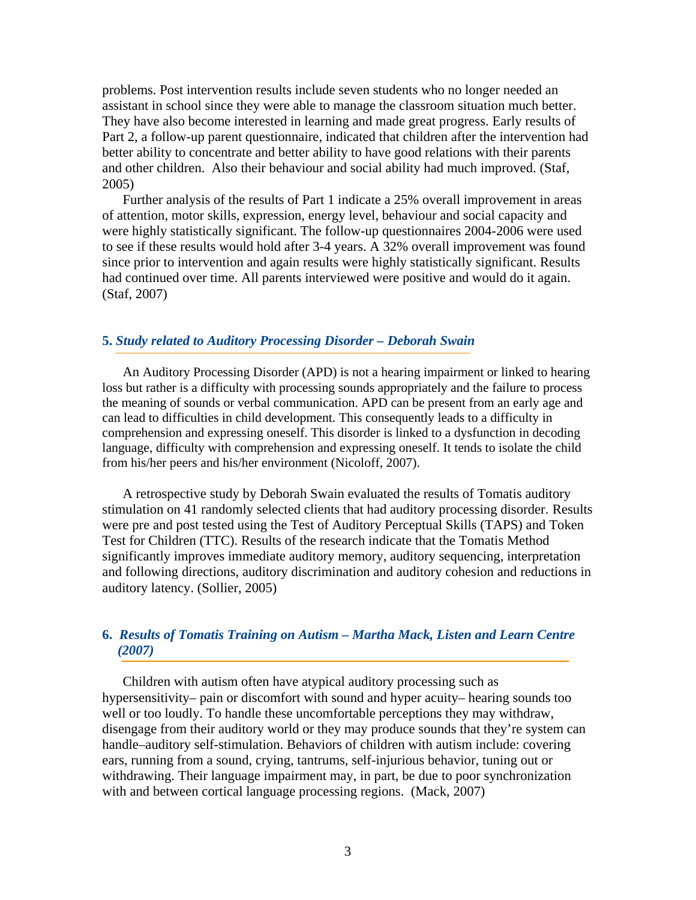<span id="page-2-0"></span>problems. Post intervention results include seven students who no longer needed an assistant in school since they were able to manage the classroom situation much better. They have also become interested in learning and made great progress. Early results of Part 2, a follow-up parent questionnaire, indicated that children after the intervention had better ability to concentrate and better ability to have good relations with their parents and other children. Also their behaviour and social ability had much improved. (Staf, 2005)

Further analysis of the results of Part 1 indicate a 25% overall improvement in areas of attention, motor skills, expression, energy level, behaviour and social capacity and were highly statistically significant. The follow-up questionnaires 2004-2006 were used to see if these results would hold after 3-4 years. A 32% overall improvement was found since prior to intervention and again results were highly statistically significant. Results had continued over time. All parents interviewed were positive and would do it again. (Staf, 2007)

## **5.** *Study related to Auditory Processing Disorder – Deborah Swain*

An Auditory Processing Disorder (APD) is not a hearing impairment or linked to hearing loss but rather is a difficulty with processing sounds appropriately and the failure to process the meaning of sounds or verbal communication. APD can be present from an early age and can lead to difficulties in child development. This consequently leads to a difficulty in comprehension and expressing oneself. This disorder is linked to a dysfunction in decoding language, difficulty with comprehension and expressing oneself. It tends to isolate the child from his/her peers and his/her environment (Nicoloff, 2007).

A retrospective study by Deborah Swain evaluated the results of Tomatis auditory stimulation on 41 randomly selected clients that had auditory processing disorder. Results were pre and post tested using the Test of Auditory Perceptual Skills (TAPS) and Token Test for Children (TTC). Results of the research indicate that the Tomatis Method significantly improves immediate auditory memory, auditory sequencing, interpretation and following directions, auditory discrimination and auditory cohesion and reductions in auditory latency. (Sollier, 2005)

# **6.** *Results of Tomatis Training on Autism – Martha Mack, Listen and Learn Centre (2007)*

Children with autism often have atypical auditory processing such as hypersensitivity– pain or discomfort with sound and hyper acuity– hearing sounds too well or too loudly. To handle these uncomfortable perceptions they may withdraw, disengage from their auditory world or they may produce sounds that they're system can handle–auditory self-stimulation. Behaviors of children with autism include: covering ears, running from a sound, crying, tantrums, self-injurious behavior, tuning out or withdrawing. Their language impairment may, in part, be due to poor synchronization with and between cortical language processing regions. (Mack, 2007)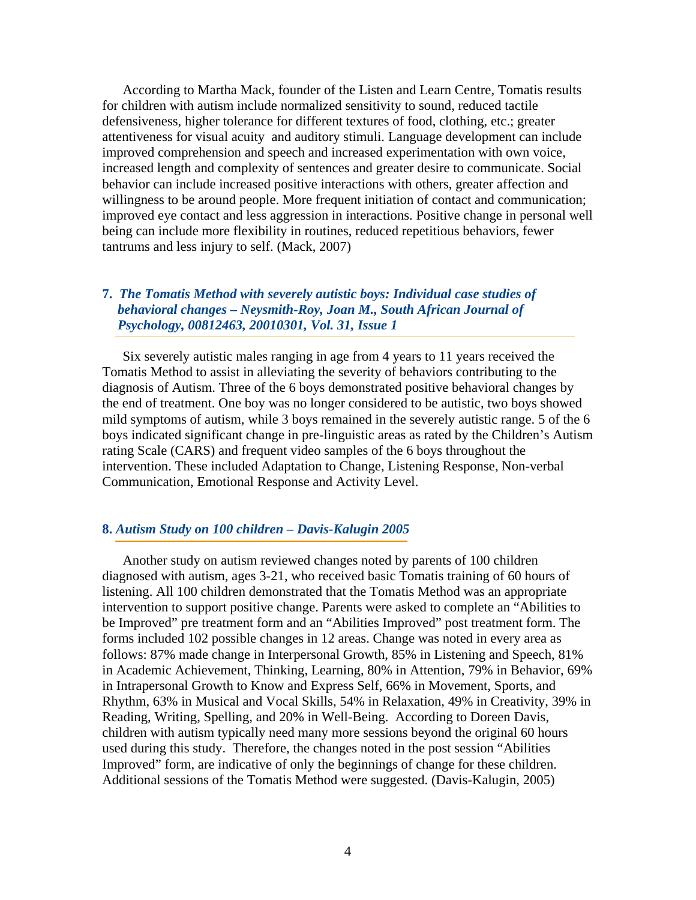<span id="page-3-0"></span>According to Martha Mack, founder of the Listen and Learn Centre, Tomatis results for children with autism include normalized sensitivity to sound, reduced tactile defensiveness, higher tolerance for different textures of food, clothing, etc.; greater attentiveness for visual acuity and auditory stimuli. Language development can include improved comprehension and speech and increased experimentation with own voice, increased length and complexity of sentences and greater desire to communicate. Social behavior can include increased positive interactions with others, greater affection and willingness to be around people. More frequent initiation of contact and communication; improved eye contact and less aggression in interactions. Positive change in personal well being can include more flexibility in routines, reduced repetitious behaviors, fewer tantrums and less injury to self. (Mack, 2007)

# **7.** *The Tomatis Method with severely autistic boys: Individual case studies of behavioral changes – Neysmith-Roy, Joan M., South African Journal of Psychology, 00812463, 20010301, Vol. 31, Issue 1*

Six severely autistic males ranging in age from 4 years to 11 years received the Tomatis Method to assist in alleviating the severity of behaviors contributing to the diagnosis of Autism. Three of the 6 boys demonstrated positive behavioral changes by the end of treatment. One boy was no longer considered to be autistic, two boys showed mild symptoms of autism, while 3 boys remained in the severely autistic range. 5 of the 6 boys indicated significant change in pre-linguistic areas as rated by the Children's Autism rating Scale (CARS) and frequent video samples of the 6 boys throughout the intervention. These included Adaptation to Change, Listening Response, Non-verbal Communication, Emotional Response and Activity Level.

#### **8.** *Autism Study on 100 children – Davis-Kalugin 2005*

Another study on autism reviewed changes noted by parents of 100 children diagnosed with autism, ages 3-21, who received basic Tomatis training of 60 hours of listening. All 100 children demonstrated that the Tomatis Method was an appropriate intervention to support positive change. Parents were asked to complete an "Abilities to be Improved" pre treatment form and an "Abilities Improved" post treatment form. The forms included 102 possible changes in 12 areas. Change was noted in every area as follows: 87% made change in Interpersonal Growth, 85% in Listening and Speech, 81% in Academic Achievement, Thinking, Learning, 80% in Attention, 79% in Behavior, 69% in Intrapersonal Growth to Know and Express Self, 66% in Movement, Sports, and Rhythm, 63% in Musical and Vocal Skills, 54% in Relaxation, 49% in Creativity, 39% in Reading, Writing, Spelling, and 20% in Well-Being. According to Doreen Davis, children with autism typically need many more sessions beyond the original 60 hours used during this study. Therefore, the changes noted in the post session "Abilities Improved" form, are indicative of only the beginnings of change for these children. Additional sessions of the Tomatis Method were suggested. (Davis-Kalugin, 2005)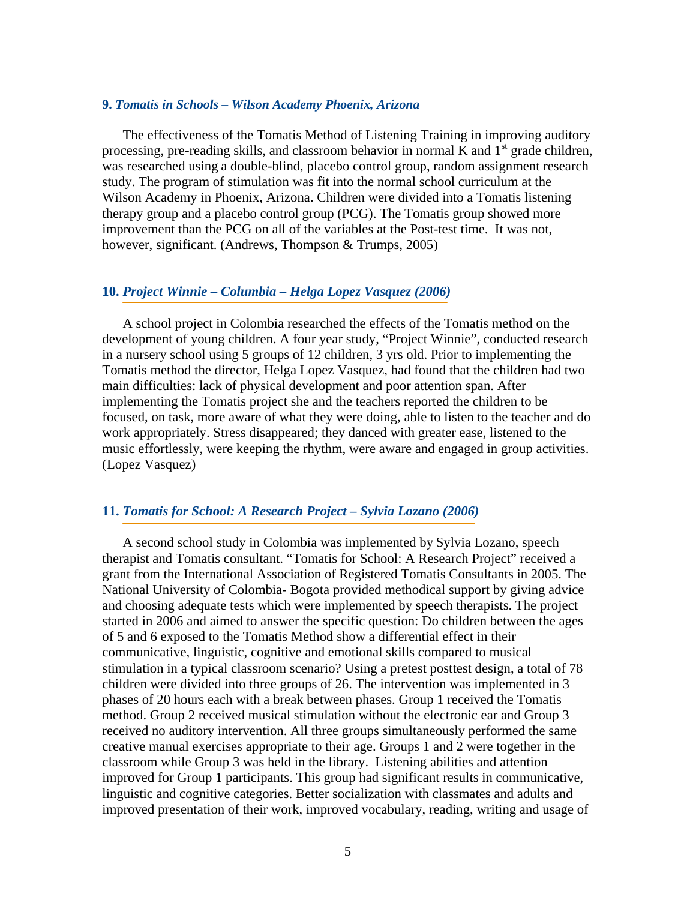#### <span id="page-4-0"></span>**9.** *Tomatis in Schools – Wilson Academy Phoenix, Arizona*

The effectiveness of the Tomatis Method of Listening Training in improving auditory processing, pre-reading skills, and classroom behavior in normal K and  $1<sup>st</sup>$  grade children, was researched using a double-blind, placebo control group, random assignment research study. The program of stimulation was fit into the normal school curriculum at the Wilson Academy in Phoenix, Arizona. Children were divided into a Tomatis listening therapy group and a placebo control group (PCG). The Tomatis group showed more improvement than the PCG on all of the variables at the Post-test time. It was not, however, significant. (Andrews, Thompson & Trumps, 2005)

## **10.** *Project Winnie – Columbia – Helga Lopez Vasquez (2006)*

A school project in Colombia researched the effects of the Tomatis method on the development of young children. A four year study, "Project Winnie", conducted research in a nursery school using 5 groups of 12 children, 3 yrs old. Prior to implementing the Tomatis method the director, Helga Lopez Vasquez, had found that the children had two main difficulties: lack of physical development and poor attention span. After implementing the Tomatis project she and the teachers reported the children to be focused, on task, more aware of what they were doing, able to listen to the teacher and do work appropriately. Stress disappeared; they danced with greater ease, listened to the music effortlessly, were keeping the rhythm, were aware and engaged in group activities. (Lopez Vasquez)

## **11.** *Tomatis for School: A Research Project – Sylvia Lozano (2006)*

A second school study in Colombia was implemented by Sylvia Lozano, speech therapist and Tomatis consultant. "Tomatis for School: A Research Project" received a grant from the International Association of Registered Tomatis Consultants in 2005. The National University of Colombia- Bogota provided methodical support by giving advice and choosing adequate tests which were implemented by speech therapists. The project started in 2006 and aimed to answer the specific question: Do children between the ages of 5 and 6 exposed to the Tomatis Method show a differential effect in their communicative, linguistic, cognitive and emotional skills compared to musical stimulation in a typical classroom scenario? Using a pretest posttest design, a total of 78 children were divided into three groups of 26. The intervention was implemented in 3 phases of 20 hours each with a break between phases. Group 1 received the Tomatis method. Group 2 received musical stimulation without the electronic ear and Group 3 received no auditory intervention. All three groups simultaneously performed the same creative manual exercises appropriate to their age. Groups 1 and 2 were together in the classroom while Group 3 was held in the library. Listening abilities and attention improved for Group 1 participants. This group had significant results in communicative, linguistic and cognitive categories. Better socialization with classmates and adults and improved presentation of their work, improved vocabulary, reading, writing and usage of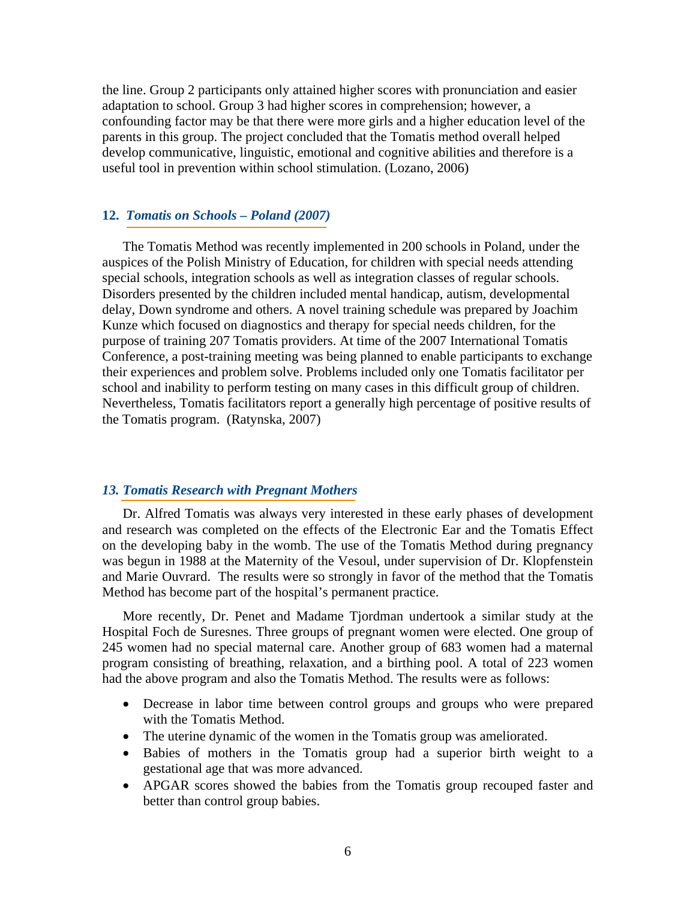<span id="page-5-0"></span>the line. Group 2 participants only attained higher scores with pronunciation and easier adaptation to school. Group 3 had higher scores in comprehension; however, a confounding factor may be that there were more girls and a higher education level of the parents in this group. The project concluded that the Tomatis method overall helped develop communicative, linguistic, emotional and cognitive abilities and therefore is a useful tool in prevention within school stimulation. (Lozano, 2006)

# **12.** *Tomatis on Schools – Poland (2007)*

The Tomatis Method was recently implemented in 200 schools in Poland, under the auspices of the Polish Ministry of Education, for children with special needs attending special schools, integration schools as well as integration classes of regular schools. Disorders presented by the children included mental handicap, autism, developmental delay, Down syndrome and others. A novel training schedule was prepared by Joachim Kunze which focused on diagnostics and therapy for special needs children, for the purpose of training 207 Tomatis providers. At time of the 2007 International Tomatis Conference, a post-training meeting was being planned to enable participants to exchange their experiences and problem solve. Problems included only one Tomatis facilitator per school and inability to perform testing on many cases in this difficult group of children. Nevertheless, Tomatis facilitators report a generally high percentage of positive results of the Tomatis program. (Ratynska, 2007)

## *13. Tomatis Research with Pregnant Mothers*

Dr. Alfred Tomatis was always very interested in these early phases of development and research was completed on the effects of the Electronic Ear and the Tomatis Effect on the developing baby in the womb. The use of the Tomatis Method during pregnancy was begun in 1988 at the Maternity of the Vesoul, under supervision of Dr. Klopfenstein and Marie Ouvrard. The results were so strongly in favor of the method that the Tomatis Method has become part of the hospital's permanent practice.

More recently, Dr. Penet and Madame Tjordman undertook a similar study at the Hospital Foch de Suresnes. Three groups of pregnant women were elected. One group of 245 women had no special maternal care. Another group of 683 women had a maternal program consisting of breathing, relaxation, and a birthing pool. A total of 223 women had the above program and also the Tomatis Method. The results were as follows:

- Decrease in labor time between control groups and groups who were prepared with the Tomatis Method.
- The uterine dynamic of the women in the Tomatis group was ameliorated.
- Babies of mothers in the Tomatis group had a superior birth weight to a gestational age that was more advanced.
- APGAR scores showed the babies from the Tomatis group recouped faster and better than control group babies.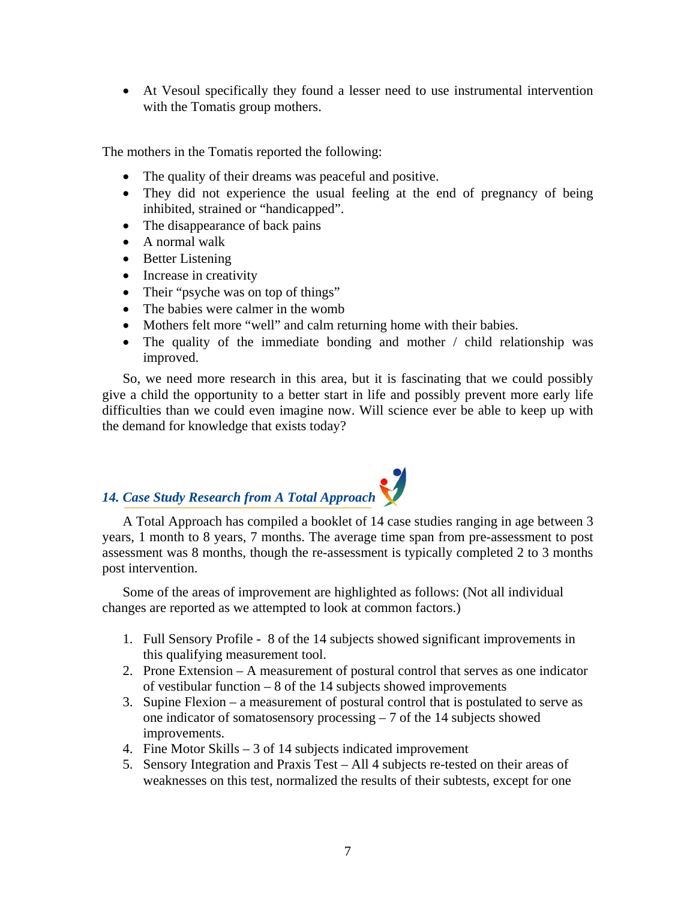<span id="page-6-0"></span>• At Vesoul specifically they found a lesser need to use instrumental intervention with the Tomatis group mothers.

The mothers in the Tomatis reported the following:

- The quality of their dreams was peaceful and positive.
- They did not experience the usual feeling at the end of pregnancy of being inhibited, strained or "handicapped".
- The disappearance of back pains
- A normal walk
- Better Listening
- Increase in creativity
- Their "psyche was on top of things"
- The babies were calmer in the womb
- Mothers felt more "well" and calm returning home with their babies.
- The quality of the immediate bonding and mother / child relationship was improved.

So, we need more research in this area, but it is fascinating that we could possibly give a child the opportunity to a better start in life and possibly prevent more early life difficulties than we could even imagine now. Will science ever be able to keep up with the demand for knowledge that exists today?

# *14. Case Study Research from A Total Approach*

A Total Approach has compiled a booklet of 14 case studies ranging in age between 3 years, 1 month to 8 years, 7 months. The average time span from pre-assessment to post assessment was 8 months, though the re-assessment is typically completed 2 to 3 months post intervention.

Some of the areas of improvement are highlighted as follows: (Not all individual changes are reported as we attempted to look at common factors.)

- 1. Full Sensory Profile 8 of the 14 subjects showed significant improvements in this qualifying measurement tool.
- 2. Prone Extension A measurement of postural control that serves as one indicator of vestibular function  $-8$  of the 14 subjects showed improvements
- 3. Supine Flexion a measurement of postural control that is postulated to serve as one indicator of somatosensory processing – 7 of the 14 subjects showed improvements.
- 4. Fine Motor Skills 3 of 14 subjects indicated improvement
- 5. Sensory Integration and Praxis Test All 4 subjects re-tested on their areas of weaknesses on this test, normalized the results of their subtests, except for one